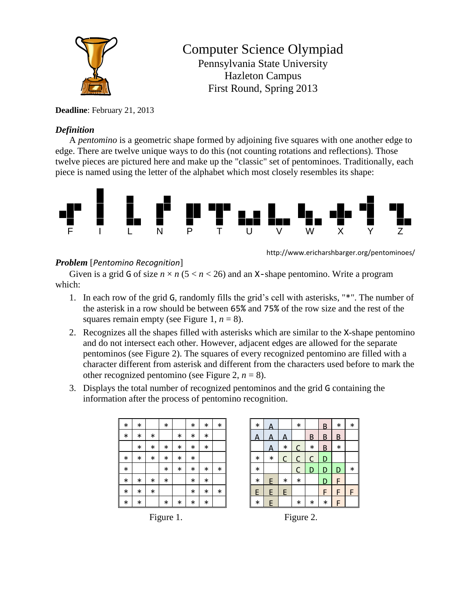

## Computer Science Olympiad Pennsylvania State University

Hazleton Campus First Round, Spring 2013

## **Deadline**: February 21, 2013

## *Definition*

A *pentomino* is a geometric shape formed by adjoining five squares with one another edge to edge. There are twelve unique ways to do this (not counting rotations and reflections). Those twelve pieces are pictured here and make up the "classic" set of pentominoes. Traditionally, each piece is named using the letter of the alphabet which most closely resembles its shape:



http://www.ericharshbarger.org/pentominoes/

## *Problem* [*Pentomino Recognition*]

Given is a grid G of size  $n \times n$  ( $5 < n < 26$ ) and an X-shape pentomino. Write a program which:

- 1. In each row of the grid G, randomly fills the grid's cell with asterisks, "\*". The number of the asterisk in a row should be between 65% and 75% of the row size and the rest of the squares remain empty (see Figure 1,  $n = 8$ ).
- 2. Recognizes all the shapes filled with asterisks which are similar to the X-shape pentomino and do not intersect each other. However, adjacent edges are allowed for the separate pentominos (see Figure 2). The squares of every recognized pentomino are filled with a character different from asterisk and different from the characters used before to mark the other recognized pentomino (see Figure 2,  $n = 8$ ).
- 3. Displays the total number of recognized pentominos and the grid G containing the information after the process of pentomino recognition.

| $\ast$ | $\ast$ |        | $\ast$ |        | $\ast$ | $\ast$ | $\ast$ |
|--------|--------|--------|--------|--------|--------|--------|--------|
| $\ast$ | $\ast$ | $\ast$ |        | $\ast$ | $\ast$ | $\ast$ |        |
|        | $\ast$ | $\ast$ | *      | $\ast$ | $\ast$ | $\ast$ |        |
| $\ast$ | $\ast$ | $\ast$ | *      | $\ast$ | $\ast$ |        |        |
| $\ast$ |        |        | *      | $\ast$ | $\ast$ | $\ast$ | $\ast$ |
| $\ast$ | $\ast$ | $\ast$ | $\ast$ |        | $\ast$ | $\ast$ |        |
| $\ast$ | $\ast$ | $\ast$ |        |        | $\ast$ | $\ast$ | $\ast$ |
| $\ast$ | $\ast$ |        | $\ast$ | $\ast$ | $\ast$ | $\ast$ |        |